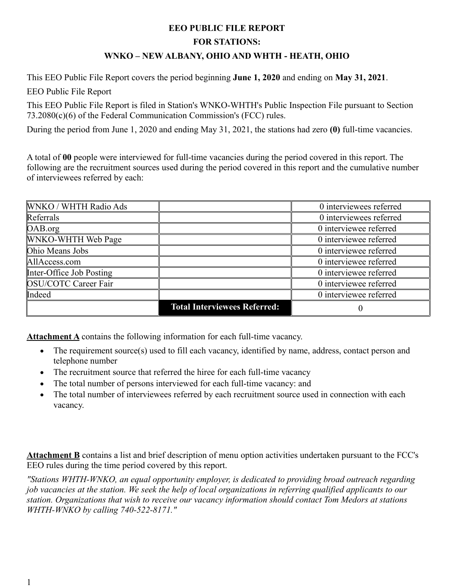## **EEO PUBLIC FILE REPORT**

## **FOR STATIONS:**

## **WNKO – NEW ALBANY, OHIO AND WHTH - HEATH, OHIO**

This EEO Public File Report covers the period beginning **June 1, 2020** and ending on **May 31, 2021**.

EEO Public File Report

This EEO Public File Report is filed in Station's WNKO-WHTH's Public Inspection File pursuant to Section 73.2080(c)(6) of the Federal Communication Commission's (FCC) rules.

During the period from June 1, 2020 and ending May 31, 2021, the stations had zero **(0)** full-time vacancies.

A total of **00** people were interviewed for full-time vacancies during the period covered in this report. The following are the recruitment sources used during the period covered in this report and the cumulative number of interviewees referred by each:

| <b>WNKO / WHTH Radio Ads</b> |                                     | 0 interviewees referred |
|------------------------------|-------------------------------------|-------------------------|
| Referrals                    |                                     | 0 interviewees referred |
| OAB.org                      |                                     | 0 interviewee referred  |
| <b>WNKO-WHTH Web Page</b>    |                                     | 0 interviewee referred  |
| Ohio Means Jobs              |                                     | 0 interviewee referred  |
| AllAccess.com                |                                     | 0 interviewee referred  |
| Inter-Office Job Posting     |                                     | 0 interviewee referred  |
| <b>OSU/COTC Career Fair</b>  |                                     | 0 interviewee referred  |
| Indeed                       |                                     | 0 interviewee referred  |
|                              | <b>Total Interviewees Referred:</b> | $\theta$                |

**Attachment A** contains the following information for each full-time vacancy.

- The requirement source(s) used to fill each vacancy, identified by name, address, contact person and telephone number
- The recruitment source that referred the hiree for each full-time vacancy
- The total number of persons interviewed for each full-time vacancy: and
- The total number of interviewees referred by each recruitment source used in connection with each vacancy.

**Attachment B** contains a list and brief description of menu option activities undertaken pursuant to the FCC's EEO rules during the time period covered by this report.

*"Stations WHTH-WNKO, an equal opportunity employer, is dedicated to providing broad outreach regarding job vacancies at the station. We seek the help of local organizations in referring qualified applicants to our station. Organizations that wish to receive our vacancy information should contact Tom Medors at stations WHTH-WNKO by calling 740-522-8171."*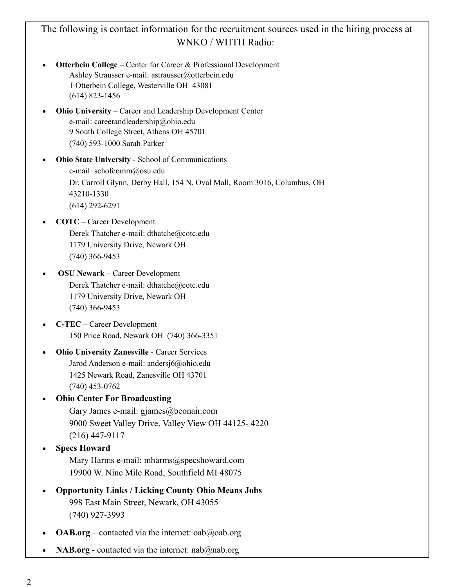## The following is contact information for the recruitment sources used in the hiring process at WNKO / WHTH Radio:

- **Otterbein College** Center for Career & Professional Development Ashley Strausser e-mail: astrausser@otterbein.edu 1 Otterbein College, Westerville OH 43081 (614) 823-1456
- **Ohio University** Career and Leadership Development Center e-mail: careerandleadership@ohio.edu 9 South College Street, Athens OH 45701 (740) 593-1000 Sarah Parker
- **Ohio State University** School of Communications e-mail: schofcomm@osu.edu Dr. Carroll Glynn, Derby Hall, 154 N. Oval Mall, Room 3016, Columbus, OH 43210-1330 (614) 292-6291
- **COTC** Career Development Derek Thatcher e-mail: dthatche@cotc.edu 1179 University Drive, Newark OH (740) 366-9453
- **OSU Newark** Career Development Derek Thatcher e-mail: dthatche@cotc.edu 1179 University Drive, Newark OH (740) 366-9453
- **C-TEC** Career Development 150 Price Road, Newark OH (740) 366-3351
- **Ohio University Zanesville** Career Services Jarod Anderson e-mail: andersj6@ohio.edu 1425 Newark Road, Zanesville OH 43701 (740) 453-0762
	- **Ohio Center For Broadcasting** Gary James e-mail: gjames@beonair.com 9000 Sweet Valley Drive, Valley View OH 44125- 4220 (216) 447-9117
- **Specs Howard**
	- Mary Harms e-mail: mharms@specshoward.com 19900 W. Nine Mile Road, Southfield MI 48075
- **Opportunity Links / Licking County Ohio Means Jobs** 998 East Main Street, Newark, OH 43055 (740) 927-3993
- **OAB.org** contacted via the internet: oab@oab.org
- NAB.org contacted via the internet: nab@nab.org